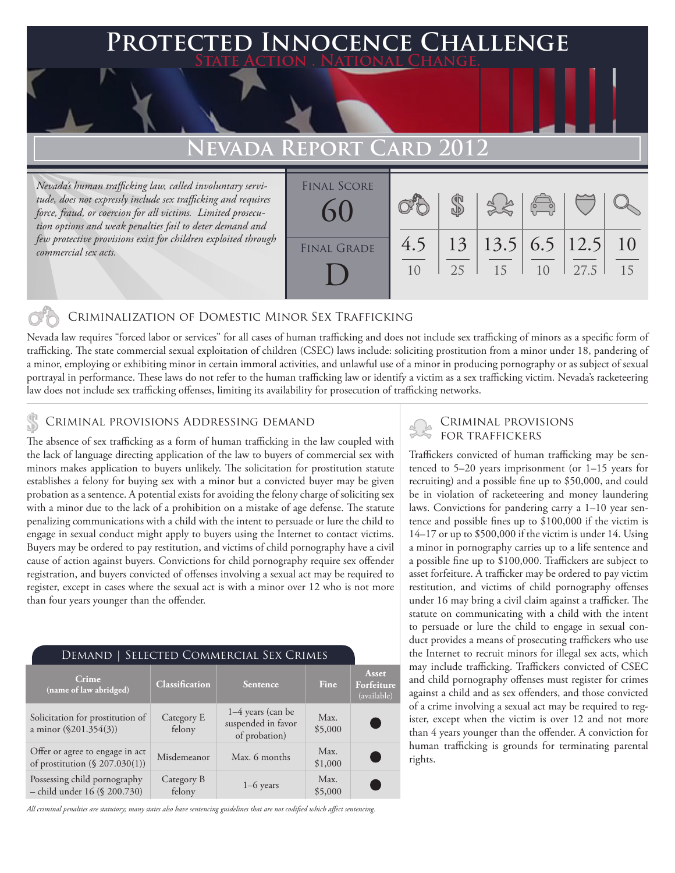## 'ed Innocence Challenge **State Action . National Change.**

# **EVADA REPORT CARD**

*Nevada's human trafficking law, called involuntary servitude, does not expressly include sex trafficking and requires force, fraud, or coercion for all victims. Limited prosecution options and weak penalties fail to deter demand and few protective provisions exist for children exploited through commercial sex acts.*

| <b>FINAL SCORE</b><br>60 |           |    | 3860                      |    |      |    |
|--------------------------|-----------|----|---------------------------|----|------|----|
| <b>FINAL GRADE</b>       | 4.5<br>10 | 25 | 13 13.5 6.5 12.5 10<br>15 | 10 | 27.5 | 15 |

### Criminalization of Domestic Minor Sex Trafficking

Nevada law requires "forced labor or services" for all cases of human trafficking and does not include sex trafficking of minors as a specific form of trafficking. The state commercial sexual exploitation of children (CSEC) laws include: soliciting prostitution from a minor under 18, pandering of a minor, employing or exhibiting minor in certain immoral activities, and unlawful use of a minor in producing pornography or as subject of sexual portrayal in performance. These laws do not refer to the human trafficking law or identify a victim as a sex trafficking victim. Nevada's racketeering law does not include sex trafficking offenses, limiting its availability for prosecution of trafficking networks.

# CRIMINAL PROVISIONS ADDRESSING DEMAND<br>The sheapes of sour trafficking as a form of human trafficking in the law counled with FOR TRAFFICKERS

The absence of sex trafficking as a form of human trafficking in the law coupled with the lack of language directing application of the law to buyers of commercial sex with minors makes application to buyers unlikely. The solicitation for prostitution statute establishes a felony for buying sex with a minor but a convicted buyer may be given probation as a sentence. A potential exists for avoiding the felony charge of soliciting sex with a minor due to the lack of a prohibition on a mistake of age defense. The statute penalizing communications with a child with the intent to persuade or lure the child to engage in sexual conduct might apply to buyers using the Internet to contact victims. Buyers may be ordered to pay restitution, and victims of child pornography have a civil cause of action against buyers. Convictions for child pornography require sex offender registration, and buyers convicted of offenses involving a sexual act may be required to register, except in cases where the sexual act is with a minor over 12 who is not more than four years younger than the offender.

| DEMAND   SELECTED COMMERCIAL SEX CRIMES                           |                       |                                                            |                 |                                    |  |  |  |
|-------------------------------------------------------------------|-----------------------|------------------------------------------------------------|-----------------|------------------------------------|--|--|--|
| Crime<br>(name of law abridged)                                   | <b>Classification</b> | Sentence                                                   | Fine            | Asset<br>Forfeiture<br>(available) |  |  |  |
| Solicitation for prostitution of<br>a minor (§201.354(3))         | Category E<br>felony  | $1-4$ years (can be<br>suspended in favor<br>of probation) | Max.<br>\$5,000 |                                    |  |  |  |
| Offer or agree to engage in act<br>of prostitution (§ 207.030(1)) | Misdemeanor           | Max. 6 months                                              | Max.<br>\$1,000 |                                    |  |  |  |
| Possessing child pornography<br>- child under 16 (§ 200.730)      | Category B<br>felony  | $1-6$ years                                                | Max.<br>\$5,000 |                                    |  |  |  |

*All criminal penalties are statutory; many states also have sentencing guidelines that are not codified which affect sentencing.* 

Traffickers convicted of human trafficking may be sentenced to 5–20 years imprisonment (or 1–15 years for recruiting) and a possible fine up to \$50,000, and could be in violation of racketeering and money laundering laws. Convictions for pandering carry a 1–10 year sentence and possible fines up to \$100,000 if the victim is 14–17 or up to \$500,000 if the victim is under 14. Using a minor in pornography carries up to a life sentence and a possible fine up to \$100,000. Traffickers are subject to asset forfeiture. A trafficker may be ordered to pay victim restitution, and victims of child pornography offenses under 16 may bring a civil claim against a trafficker. The statute on communicating with a child with the intent to persuade or lure the child to engage in sexual conduct provides a means of prosecuting traffickers who use the Internet to recruit minors for illegal sex acts, which may include trafficking. Traffickers convicted of CSEC and child pornography offenses must register for crimes against a child and as sex offenders, and those convicted of a crime involving a sexual act may be required to register, except when the victim is over 12 and not more than 4 years younger than the offender. A conviction for human trafficking is grounds for terminating parental rights.